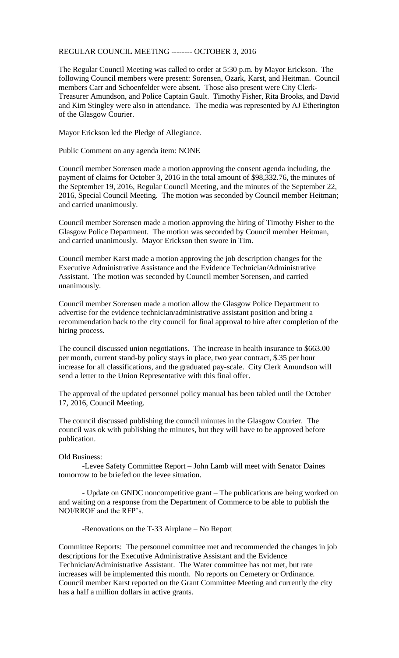## REGULAR COUNCIL MEETING -------- OCTOBER 3, 2016

The Regular Council Meeting was called to order at 5:30 p.m. by Mayor Erickson. The following Council members were present: Sorensen, Ozark, Karst, and Heitman. Council members Carr and Schoenfelder were absent. Those also present were City Clerk-Treasurer Amundson, and Police Captain Gault. Timothy Fisher, Rita Brooks, and David and Kim Stingley were also in attendance. The media was represented by AJ Etherington of the Glasgow Courier.

Mayor Erickson led the Pledge of Allegiance.

Public Comment on any agenda item: NONE

Council member Sorensen made a motion approving the consent agenda including, the payment of claims for October 3, 2016 in the total amount of \$98,332.76, the minutes of the September 19, 2016, Regular Council Meeting, and the minutes of the September 22, 2016, Special Council Meeting. The motion was seconded by Council member Heitman; and carried unanimously.

Council member Sorensen made a motion approving the hiring of Timothy Fisher to the Glasgow Police Department. The motion was seconded by Council member Heitman, and carried unanimously. Mayor Erickson then swore in Tim.

Council member Karst made a motion approving the job description changes for the Executive Administrative Assistance and the Evidence Technician/Administrative Assistant. The motion was seconded by Council member Sorensen, and carried unanimously.

Council member Sorensen made a motion allow the Glasgow Police Department to advertise for the evidence technician/administrative assistant position and bring a recommendation back to the city council for final approval to hire after completion of the hiring process.

The council discussed union negotiations. The increase in health insurance to \$663.00 per month, current stand-by policy stays in place, two year contract, \$.35 per hour increase for all classifications, and the graduated pay-scale. City Clerk Amundson will send a letter to the Union Representative with this final offer.

The approval of the updated personnel policy manual has been tabled until the October 17, 2016, Council Meeting.

The council discussed publishing the council minutes in the Glasgow Courier. The council was ok with publishing the minutes, but they will have to be approved before publication.

Old Business:

-Levee Safety Committee Report – John Lamb will meet with Senator Daines tomorrow to be briefed on the levee situation.

- Update on GNDC noncompetitive grant – The publications are being worked on and waiting on a response from the Department of Commerce to be able to publish the NOI/RROF and the RFP's.

-Renovations on the T-33 Airplane – No Report

Committee Reports: The personnel committee met and recommended the changes in job descriptions for the Executive Administrative Assistant and the Evidence Technician/Administrative Assistant. The Water committee has not met, but rate increases will be implemented this month. No reports on Cemetery or Ordinance. Council member Karst reported on the Grant Committee Meeting and currently the city has a half a million dollars in active grants.